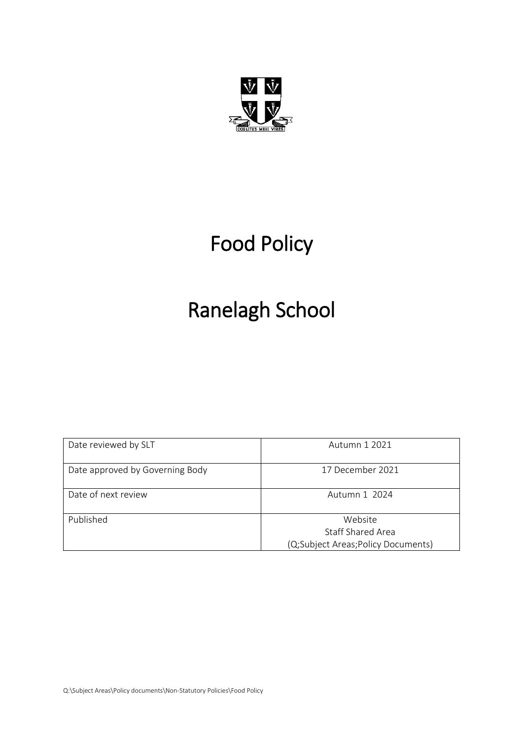

# Food Policy

# Ranelagh School

| Date reviewed by SLT            | Autumn 1 2021                      |
|---------------------------------|------------------------------------|
| Date approved by Governing Body | 17 December 2021                   |
| Date of next review             | Autumn 1 2024                      |
| Published                       | Website                            |
|                                 | Staff Shared Area                  |
|                                 | (Q;Subject Areas;Policy Documents) |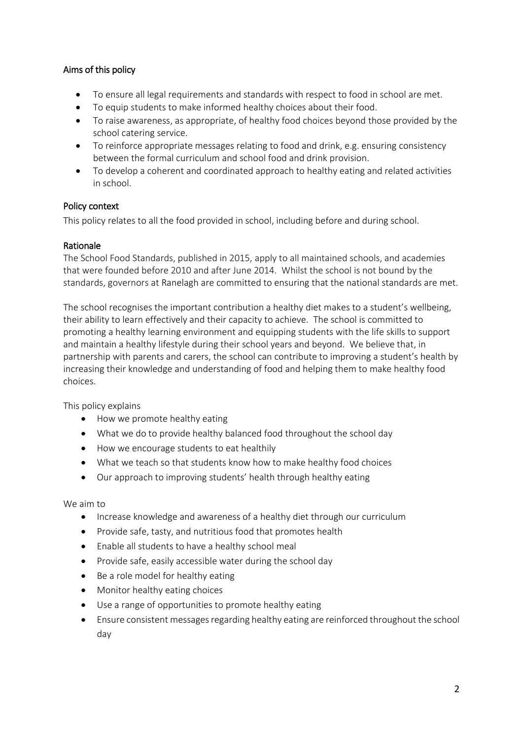# Aims of this policy

- To ensure all legal requirements and standards with respect to food in school are met.
- To equip students to make informed healthy choices about their food.
- To raise awareness, as appropriate, of healthy food choices beyond those provided by the school catering service.
- To reinforce appropriate messages relating to food and drink, e.g. ensuring consistency between the formal curriculum and school food and drink provision.
- To develop a coherent and coordinated approach to healthy eating and related activities in school.

## Policy context

This policy relates to all the food provided in school, including before and during school.

## Rationale

The School Food Standards, published in 2015, apply to all maintained schools, and academies that were founded before 2010 and after June 2014. Whilst the school is not bound by the standards, governors at Ranelagh are committed to ensuring that the national standards are met.

The school recognises the important contribution a healthy diet makes to a student's wellbeing, their ability to learn effectively and their capacity to achieve. The school is committed to promoting a healthy learning environment and equipping students with the life skills to support and maintain a healthy lifestyle during their school years and beyond. We believe that, in partnership with parents and carers, the school can contribute to improving a student's health by increasing their knowledge and understanding of food and helping them to make healthy food choices.

This policy explains

- How we promote healthy eating
- What we do to provide healthy balanced food throughout the school day
- How we encourage students to eat healthily
- What we teach so that students know how to make healthy food choices
- Our approach to improving students' health through healthy eating

We aim to

- Increase knowledge and awareness of a healthy diet through our curriculum
- Provide safe, tasty, and nutritious food that promotes health
- Enable all students to have a healthy school meal
- Provide safe, easily accessible water during the school day
- Be a role model for healthy eating
- Monitor healthy eating choices
- Use a range of opportunities to promote healthy eating
- Ensure consistent messages regarding healthy eating are reinforced throughout the school day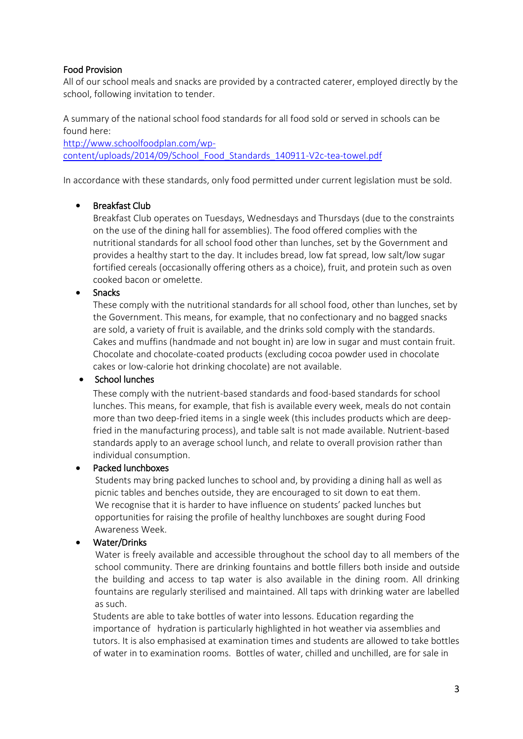# Food Provision

All of our school meals and snacks are provided by a contracted caterer, employed directly by the school, following invitation to tender.

A summary of the national school food standards for all food sold or served in schools can be found here:

[http://www.schoolfoodplan.com/wp](http://www.schoolfoodplan.com/wp-content/uploads/2014/09/School_Food_Standards_140911-V2c-tea-towel.pdf)[content/uploads/2014/09/School\\_Food\\_Standards\\_140911-V2c-tea-towel.pdf](http://www.schoolfoodplan.com/wp-content/uploads/2014/09/School_Food_Standards_140911-V2c-tea-towel.pdf)

In accordance with these standards, only food permitted under current legislation must be sold.

# • Breakfast Club

Breakfast Club operates on Tuesdays, Wednesdays and Thursdays (due to the constraints on the use of the dining hall for assemblies). The food offered complies with the nutritional standards for all school food other than lunches, set by the Government and provides a healthy start to the day. It includes bread, low fat spread, low salt/low sugar fortified cereals (occasionally offering others as a choice), fruit, and protein such as oven cooked bacon or omelette.

## • Snacks

These comply with the nutritional standards for all school food, other than lunches, set by the Government. This means, for example, that no confectionary and no bagged snacks are sold, a variety of fruit is available, and the drinks sold comply with the standards. Cakes and muffins (handmade and not bought in) are low in sugar and must contain fruit. Chocolate and chocolate-coated products (excluding cocoa powder used in chocolate cakes or low-calorie hot drinking chocolate) are not available.

# • School lunches

These comply with the nutrient-based standards and food-based standards for school lunches. This means, for example, that fish is available every week, meals do not contain more than two deep-fried items in a single week (this includes products which are deepfried in the manufacturing process), and table salt is not made available. Nutrient-based standards apply to an average school lunch, and relate to overall provision rather than individual consumption.

# • Packed lunchboxes

 Students may bring packed lunches to school and, by providing a dining hall as well as picnic tables and benches outside, they are encouraged to sit down to eat them. We recognise that it is harder to have influence on students' packed lunches but opportunities for raising the profile of healthy lunchboxes are sought during Food Awareness Week.

#### • Water/Drinks

 Water is freely available and accessible throughout the school day to all members of the school community. There are drinking fountains and bottle fillers both inside and outside the building and access to tap water is also available in the dining room. All drinking fountains are regularly sterilised and maintained. All taps with drinking water are labelled as such.

Students are able to take bottles of water into lessons. Education regarding the importance of hydration is particularly highlighted in hot weather via assemblies and tutors. It is also emphasised at examination times and students are allowed to take bottles of water in to examination rooms. Bottles of water, chilled and unchilled, are for sale in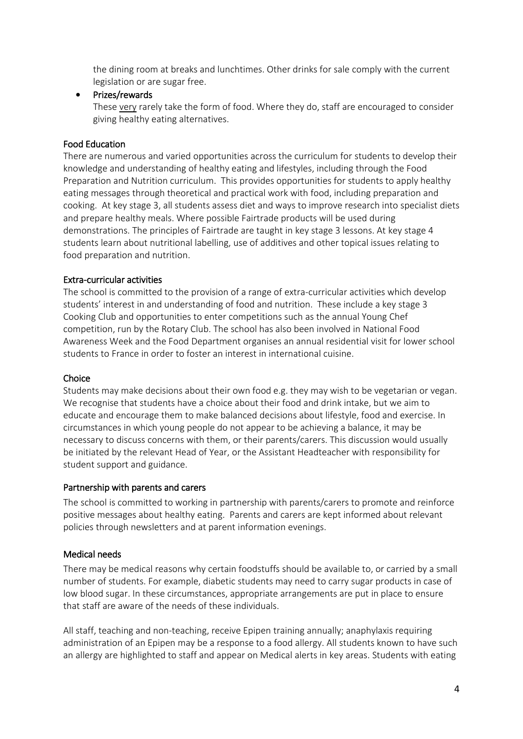the dining room at breaks and lunchtimes. Other drinks for sale comply with the current legislation or are sugar free.

#### • Prizes/rewards

These very rarely take the form of food. Where they do, staff are encouraged to consider giving healthy eating alternatives.

## Food Education

There are numerous and varied opportunities across the curriculum for students to develop their knowledge and understanding of healthy eating and lifestyles, including through the Food Preparation and Nutrition curriculum. This provides opportunities for students to apply healthy eating messages through theoretical and practical work with food, including preparation and cooking. At key stage 3, all students assess diet and ways to improve research into specialist diets and prepare healthy meals. Where possible Fairtrade products will be used during demonstrations. The principles of Fairtrade are taught in key stage 3 lessons. At key stage 4 students learn about nutritional labelling, use of additives and other topical issues relating to food preparation and nutrition.

## Extra-curricular activities

The school is committed to the provision of a range of extra-curricular activities which develop students' interest in and understanding of food and nutrition. These include a key stage 3 Cooking Club and opportunities to enter competitions such as the annual Young Chef competition, run by the Rotary Club. The school has also been involved in National Food Awareness Week and the Food Department organises an annual residential visit for lower school students to France in order to foster an interest in international cuisine.

#### Choice

Students may make decisions about their own food e.g. they may wish to be vegetarian or vegan. We recognise that students have a choice about their food and drink intake, but we aim to educate and encourage them to make balanced decisions about lifestyle, food and exercise. In circumstances in which young people do not appear to be achieving a balance, it may be necessary to discuss concerns with them, or their parents/carers. This discussion would usually be initiated by the relevant Head of Year, or the Assistant Headteacher with responsibility for student support and guidance.

#### Partnership with parents and carers

The school is committed to working in partnership with parents/carers to promote and reinforce positive messages about healthy eating. Parents and carers are kept informed about relevant policies through newsletters and at parent information evenings.

#### Medical needs

There may be medical reasons why certain foodstuffs should be available to, or carried by a small number of students. For example, diabetic students may need to carry sugar products in case of low blood sugar. In these circumstances, appropriate arrangements are put in place to ensure that staff are aware of the needs of these individuals.

All staff, teaching and non-teaching, receive Epipen training annually; anaphylaxis requiring administration of an Epipen may be a response to a food allergy. All students known to have such an allergy are highlighted to staff and appear on Medical alerts in key areas. Students with eating